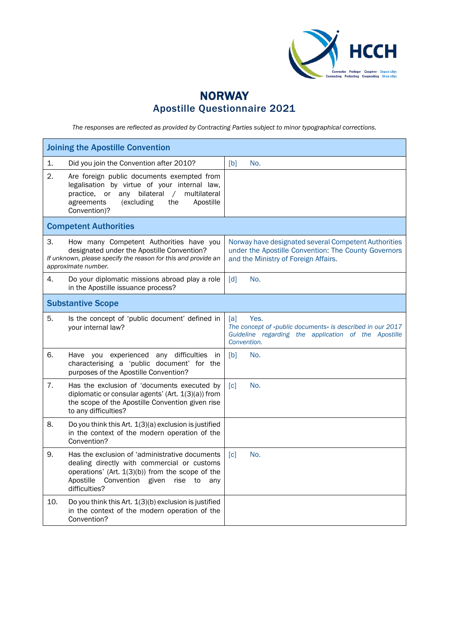

## **NORWAY** Apostille Questionnaire 2021

*The responses are reflected as provided by Contracting Parties subject to minor typographical corrections.*

| <b>Joining the Apostille Convention</b>                                                                                                                                                                                            |                                                                                                                                                      |  |  |
|------------------------------------------------------------------------------------------------------------------------------------------------------------------------------------------------------------------------------------|------------------------------------------------------------------------------------------------------------------------------------------------------|--|--|
| 1.<br>Did you join the Convention after 2010?                                                                                                                                                                                      | [b]<br>No.                                                                                                                                           |  |  |
| 2.<br>Are foreign public documents exempted from<br>legalisation by virtue of your internal law,<br>bilateral<br>practice, or<br>any<br>multilateral<br>$\sqrt{2}$<br>agreements<br>(excluding<br>the<br>Apostille<br>Convention)? |                                                                                                                                                      |  |  |
| <b>Competent Authorities</b>                                                                                                                                                                                                       |                                                                                                                                                      |  |  |
| 3.<br>How many Competent Authorities have you<br>designated under the Apostille Convention?<br>If unknown, please specify the reason for this and provide an<br>approximate number.                                                | Norway have designated several Competent Authorities<br>under the Apostille Convention: The County Governors<br>and the Ministry of Foreign Affairs. |  |  |
| 4.<br>Do your diplomatic missions abroad play a role<br>in the Apostille issuance process?                                                                                                                                         | $\lceil d \rceil$<br>No.                                                                                                                             |  |  |
| <b>Substantive Scope</b>                                                                                                                                                                                                           |                                                                                                                                                      |  |  |
| 5.<br>Is the concept of 'public document' defined in<br>your internal law?                                                                                                                                                         | Yes.<br>[a]<br>The concept of «public documents» is described in our 2017<br>Guideline regarding the application of the Apostille<br>Convention.     |  |  |
| 6.<br>Have you experienced any difficulties in<br>characterising a 'public document' for the<br>purposes of the Apostille Convention?                                                                                              | [b]<br>No.                                                                                                                                           |  |  |
| 7.<br>Has the exclusion of 'documents executed by<br>diplomatic or consular agents' (Art. 1(3)(a)) from<br>the scope of the Apostille Convention given rise<br>to any difficulties?                                                | No.<br>[c]                                                                                                                                           |  |  |
| 8.<br>Do you think this Art. 1(3)(a) exclusion is justified<br>in the context of the modern operation of the<br>Convention?                                                                                                        |                                                                                                                                                      |  |  |
| 9.<br>Has the exclusion of 'administrative documents<br>dealing directly with commercial or customs<br>operations' (Art. 1(3)(b)) from the scope of the<br>Convention<br>Apostille<br>given<br>rise<br>to<br>any<br>difficulties?  | $\lceil c \rceil$<br>No.                                                                                                                             |  |  |
| 10.<br>Do you think this Art. 1(3)(b) exclusion is justified<br>in the context of the modern operation of the<br>Convention?                                                                                                       |                                                                                                                                                      |  |  |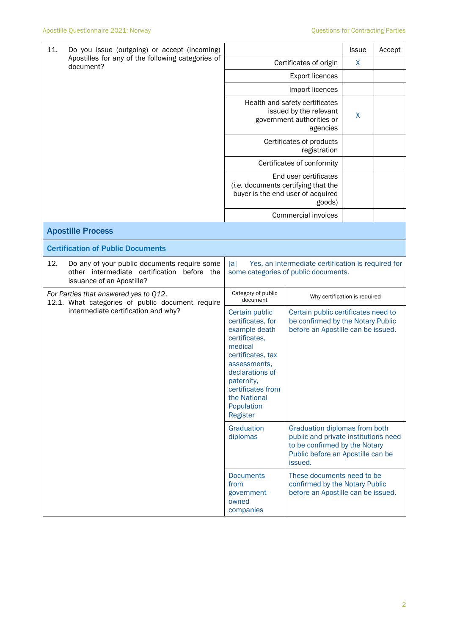| 11.<br>Do you issue (outgoing) or accept (incoming)<br>Apostilles for any of the following categories of<br>document? |                                                                                                                                                                                                                       |                                                                                                                | <b>Issue</b>                                                                                                                                           | Accept |  |  |
|-----------------------------------------------------------------------------------------------------------------------|-----------------------------------------------------------------------------------------------------------------------------------------------------------------------------------------------------------------------|----------------------------------------------------------------------------------------------------------------|--------------------------------------------------------------------------------------------------------------------------------------------------------|--------|--|--|
|                                                                                                                       |                                                                                                                                                                                                                       | Certificates of origin                                                                                         | $\mathsf{X}$                                                                                                                                           |        |  |  |
|                                                                                                                       |                                                                                                                                                                                                                       |                                                                                                                | <b>Export licences</b>                                                                                                                                 |        |  |  |
|                                                                                                                       |                                                                                                                                                                                                                       |                                                                                                                | Import licences                                                                                                                                        |        |  |  |
|                                                                                                                       |                                                                                                                                                                                                                       | Health and safety certificates<br>issued by the relevant<br>government authorities or                          | X                                                                                                                                                      |        |  |  |
|                                                                                                                       |                                                                                                                                                                                                                       |                                                                                                                | Certificates of products<br>registration                                                                                                               |        |  |  |
|                                                                                                                       |                                                                                                                                                                                                                       |                                                                                                                | Certificates of conformity                                                                                                                             |        |  |  |
|                                                                                                                       |                                                                                                                                                                                                                       | End user certificates<br>(i.e. documents certifying that the<br>buyer is the end user of acquired<br>goods)    |                                                                                                                                                        |        |  |  |
|                                                                                                                       |                                                                                                                                                                                                                       | <b>Commercial invoices</b>                                                                                     |                                                                                                                                                        |        |  |  |
|                                                                                                                       | <b>Apostille Process</b>                                                                                                                                                                                              |                                                                                                                |                                                                                                                                                        |        |  |  |
|                                                                                                                       | <b>Certification of Public Documents</b>                                                                                                                                                                              |                                                                                                                |                                                                                                                                                        |        |  |  |
| 12.                                                                                                                   | Do any of your public documents require some<br>other intermediate certification before the<br>issuance of an Apostille?                                                                                              | Yes, an intermediate certification is required for<br>[a]<br>some categories of public documents.              |                                                                                                                                                        |        |  |  |
|                                                                                                                       | For Parties that answered yes to Q12.<br>12.1. What categories of public document require                                                                                                                             | Category of public<br>document                                                                                 | Why certification is required                                                                                                                          |        |  |  |
| intermediate certification and why?                                                                                   | Certain public<br>certificates, for<br>example death<br>certificates,<br>medical<br>certificates, tax<br>assessments,<br>declarations of<br>paternity,<br>certificates from<br>the National<br>Population<br>Register | Certain public certificates need to<br>be confirmed by the Notary Public<br>before an Apostille can be issued. |                                                                                                                                                        |        |  |  |
|                                                                                                                       |                                                                                                                                                                                                                       | Graduation<br>diplomas                                                                                         | Graduation diplomas from both<br>public and private institutions need<br>to be confirmed by the Notary<br>Public before an Apostille can be<br>issued. |        |  |  |
|                                                                                                                       |                                                                                                                                                                                                                       | <b>Documents</b><br>from<br>government-<br>owned<br>companies                                                  | These documents need to be<br>confirmed by the Notary Public<br>before an Apostille can be issued.                                                     |        |  |  |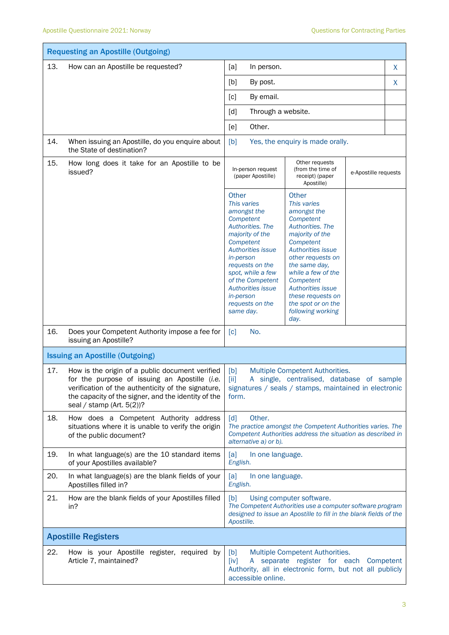| <b>Requesting an Apostille (Outgoing)</b> |                                                                                                                                                                                                                                            |                                                                                                                                                                                                                                                                                                                                                                                                                                                                                                                                                                                              |                      |  |
|-------------------------------------------|--------------------------------------------------------------------------------------------------------------------------------------------------------------------------------------------------------------------------------------------|----------------------------------------------------------------------------------------------------------------------------------------------------------------------------------------------------------------------------------------------------------------------------------------------------------------------------------------------------------------------------------------------------------------------------------------------------------------------------------------------------------------------------------------------------------------------------------------------|----------------------|--|
| 13.                                       | How can an Apostille be requested?                                                                                                                                                                                                         | [a]<br>In person.                                                                                                                                                                                                                                                                                                                                                                                                                                                                                                                                                                            | X                    |  |
|                                           |                                                                                                                                                                                                                                            | [b]<br>By post.                                                                                                                                                                                                                                                                                                                                                                                                                                                                                                                                                                              |                      |  |
|                                           |                                                                                                                                                                                                                                            | [c]<br>By email.                                                                                                                                                                                                                                                                                                                                                                                                                                                                                                                                                                             |                      |  |
|                                           |                                                                                                                                                                                                                                            | Through a website.<br>[d]                                                                                                                                                                                                                                                                                                                                                                                                                                                                                                                                                                    |                      |  |
|                                           |                                                                                                                                                                                                                                            | Other.<br>[e]                                                                                                                                                                                                                                                                                                                                                                                                                                                                                                                                                                                |                      |  |
| 14.                                       | When issuing an Apostille, do you enquire about<br>the State of destination?                                                                                                                                                               | Yes, the enquiry is made orally.<br>[b]                                                                                                                                                                                                                                                                                                                                                                                                                                                                                                                                                      |                      |  |
| 15.                                       | How long does it take for an Apostille to be<br>issued?                                                                                                                                                                                    | Other requests<br>In-person request<br>(from the time of<br>(paper Apostille)<br>receipt) (paper<br>Apostille)                                                                                                                                                                                                                                                                                                                                                                                                                                                                               | e-Apostille requests |  |
|                                           |                                                                                                                                                                                                                                            | Other<br>Other<br>This varies<br>This varies<br>amongst the<br>amongst the<br>Competent<br>Competent<br>Authorities, The<br>Authorities. The<br>majority of the<br>majority of the<br>Competent<br>Competent<br><b>Authorities issue</b><br>Authorities issue<br>in-person<br>other requests on<br>requests on the<br>the same day,<br>spot, while a few<br>while a few of the<br>of the Competent<br>Competent<br><b>Authorities issue</b><br><b>Authorities issue</b><br>in-person<br>these requests on<br>requests on the<br>the spot or on the<br>same day.<br>following working<br>day. |                      |  |
| 16.                                       | Does your Competent Authority impose a fee for<br>issuing an Apostille?                                                                                                                                                                    | [c]<br>No.                                                                                                                                                                                                                                                                                                                                                                                                                                                                                                                                                                                   |                      |  |
|                                           | <b>Issuing an Apostille (Outgoing)</b>                                                                                                                                                                                                     |                                                                                                                                                                                                                                                                                                                                                                                                                                                                                                                                                                                              |                      |  |
| 17.                                       | How is the origin of a public document verified<br>for the purpose of issuing an Apostille (i.e.<br>verification of the authenticity of the signature,<br>the capacity of the signer, and the identity of the<br>seal / stamp (Art. 5(2))? | Multiple Competent Authorities.<br>[b]<br>[iii]<br>single, centralised, database of sample<br>A<br>signatures / seals / stamps, maintained in electronic<br>form.                                                                                                                                                                                                                                                                                                                                                                                                                            |                      |  |
| 18.                                       | How does a Competent Authority address<br>situations where it is unable to verify the origin<br>of the public document?                                                                                                                    | Other.<br>[d]<br>The practice amongst the Competent Authorities varies. The<br>Competent Authorities address the situation as described in<br>alternative a) or b).                                                                                                                                                                                                                                                                                                                                                                                                                          |                      |  |
| 19.                                       | In what language(s) are the 10 standard items<br>of your Apostilles available?                                                                                                                                                             | [a]<br>In one language.<br>English.                                                                                                                                                                                                                                                                                                                                                                                                                                                                                                                                                          |                      |  |
| 20.                                       | In what language(s) are the blank fields of your<br>Apostilles filled in?                                                                                                                                                                  | [a]<br>In one language.<br>English.                                                                                                                                                                                                                                                                                                                                                                                                                                                                                                                                                          |                      |  |
| 21.                                       | How are the blank fields of your Apostilles filled<br>in?                                                                                                                                                                                  | Using computer software.<br>[b]<br>The Competent Authorities use a computer software program<br>designed to issue an Apostille to fill in the blank fields of the<br>Apostille.                                                                                                                                                                                                                                                                                                                                                                                                              |                      |  |
|                                           | <b>Apostille Registers</b>                                                                                                                                                                                                                 |                                                                                                                                                                                                                                                                                                                                                                                                                                                                                                                                                                                              |                      |  |
| 22.                                       | How is your Apostille register, required by<br>Article 7, maintained?                                                                                                                                                                      | [b]<br>Multiple Competent Authorities.<br>A separate register for each Competent<br>[iv]<br>Authority, all in electronic form, but not all publicly<br>accessible online.                                                                                                                                                                                                                                                                                                                                                                                                                    |                      |  |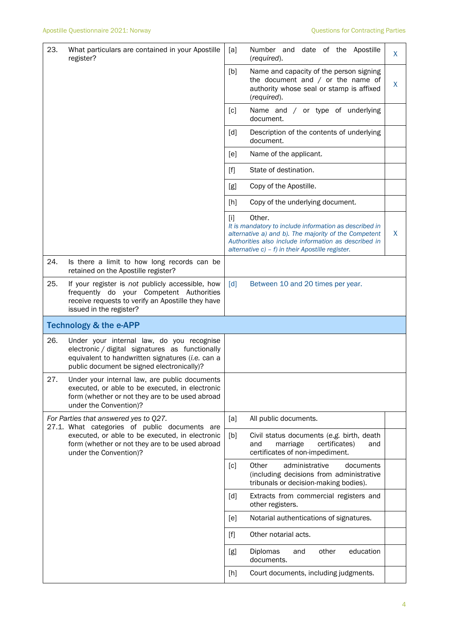| 23.                                                                                                                          | What particulars are contained in your Apostille<br>register?                                                                                                                                  | [a]               | Number and date of the Apostille<br>(required).                                                                                                                                                                                         | X |
|------------------------------------------------------------------------------------------------------------------------------|------------------------------------------------------------------------------------------------------------------------------------------------------------------------------------------------|-------------------|-----------------------------------------------------------------------------------------------------------------------------------------------------------------------------------------------------------------------------------------|---|
|                                                                                                                              |                                                                                                                                                                                                | [b]               | Name and capacity of the person signing<br>the document and $/$ or the name of<br>authority whose seal or stamp is affixed<br>(required).                                                                                               | X |
|                                                                                                                              |                                                                                                                                                                                                | [c]               | Name and / or type of underlying<br>document.                                                                                                                                                                                           |   |
|                                                                                                                              |                                                                                                                                                                                                | [d]               | Description of the contents of underlying<br>document.                                                                                                                                                                                  |   |
|                                                                                                                              |                                                                                                                                                                                                | [e]               | Name of the applicant.                                                                                                                                                                                                                  |   |
|                                                                                                                              |                                                                                                                                                                                                | $[f]$             | State of destination.                                                                                                                                                                                                                   |   |
|                                                                                                                              |                                                                                                                                                                                                | [g]               | Copy of the Apostille.                                                                                                                                                                                                                  |   |
|                                                                                                                              |                                                                                                                                                                                                | [h]               | Copy of the underlying document.                                                                                                                                                                                                        |   |
|                                                                                                                              |                                                                                                                                                                                                | [i]               | Other.<br>It is mandatory to include information as described in<br>alternative a) and b). The majority of the Competent<br>Authorities also include information as described in<br>alternative $c$ ) - f) in their Apostille register. | X |
| 24.                                                                                                                          | Is there a limit to how long records can be<br>retained on the Apostille register?                                                                                                             |                   |                                                                                                                                                                                                                                         |   |
| 25.                                                                                                                          | If your register is not publicly accessible, how<br>frequently do your Competent Authorities<br>receive requests to verify an Apostille they have<br>issued in the register?                   | $\lceil d \rceil$ | Between 10 and 20 times per year.                                                                                                                                                                                                       |   |
|                                                                                                                              | <b>Technology &amp; the e-APP</b>                                                                                                                                                              |                   |                                                                                                                                                                                                                                         |   |
| 26.                                                                                                                          | Under your internal law, do you recognise<br>electronic / digital signatures as functionally<br>equivalent to handwritten signatures (i.e. can a<br>public document be signed electronically)? |                   |                                                                                                                                                                                                                                         |   |
| 27.                                                                                                                          | Under your internal law, are public documents<br>executed, or able to be executed, in electronic<br>form (whether or not they are to be used abroad                                            |                   |                                                                                                                                                                                                                                         |   |
|                                                                                                                              | under the Convention)?                                                                                                                                                                         |                   |                                                                                                                                                                                                                                         |   |
| executed, or able to be executed, in electronic<br>form (whether or not they are to be used abroad<br>under the Convention)? | For Parties that answered yes to Q27.                                                                                                                                                          | [a]               | All public documents.                                                                                                                                                                                                                   |   |
|                                                                                                                              | 27.1. What categories of public documents are                                                                                                                                                  | [b]               | Civil status documents (e.g. birth, death<br>and<br>marriage<br>certificates)<br>and<br>certificates of non-impediment.                                                                                                                 |   |
|                                                                                                                              |                                                                                                                                                                                                | [c]               | Other<br>administrative<br>documents<br>(including decisions from administrative<br>tribunals or decision-making bodies).                                                                                                               |   |
|                                                                                                                              |                                                                                                                                                                                                | $[d]$             | Extracts from commercial registers and<br>other registers.                                                                                                                                                                              |   |
|                                                                                                                              |                                                                                                                                                                                                | [e]               | Notarial authentications of signatures.                                                                                                                                                                                                 |   |
|                                                                                                                              |                                                                                                                                                                                                | $[f]$             | Other notarial acts.                                                                                                                                                                                                                    |   |
|                                                                                                                              |                                                                                                                                                                                                | [g]               | education<br>Diplomas<br>other<br>and<br>documents.                                                                                                                                                                                     |   |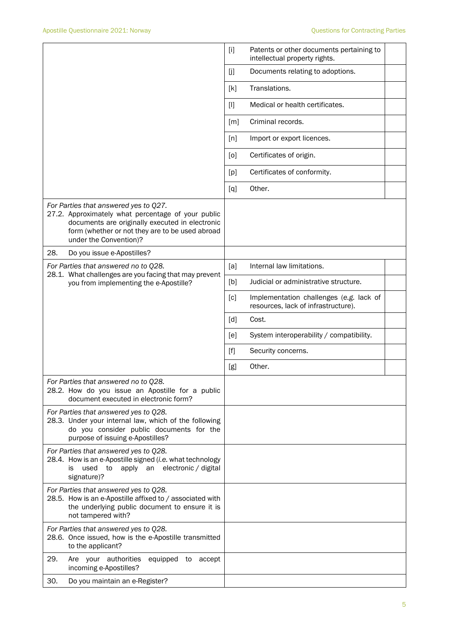|                                                                                                                                                                                                                             | Patents or other documents pertaining to<br>$[1]$<br>intellectual property rights.                  |
|-----------------------------------------------------------------------------------------------------------------------------------------------------------------------------------------------------------------------------|-----------------------------------------------------------------------------------------------------|
|                                                                                                                                                                                                                             | Documents relating to adoptions.<br>[j]                                                             |
|                                                                                                                                                                                                                             | [k]<br>Translations.                                                                                |
|                                                                                                                                                                                                                             | Medical or health certificates.<br>$[]$                                                             |
|                                                                                                                                                                                                                             | Criminal records.<br>[m]                                                                            |
|                                                                                                                                                                                                                             | [n]<br>Import or export licences.                                                                   |
|                                                                                                                                                                                                                             | Certificates of origin.<br>[0]                                                                      |
|                                                                                                                                                                                                                             | Certificates of conformity.<br>[p]                                                                  |
|                                                                                                                                                                                                                             | Other.<br>[q]                                                                                       |
| For Parties that answered yes to Q27.<br>27.2. Approximately what percentage of your public<br>documents are originally executed in electronic<br>form (whether or not they are to be used abroad<br>under the Convention)? |                                                                                                     |
| 28.<br>Do you issue e-Apostilles?                                                                                                                                                                                           |                                                                                                     |
| For Parties that answered no to Q28.<br>28.1. What challenges are you facing that may prevent                                                                                                                               | Internal law limitations.<br>[a]                                                                    |
| you from implementing the e-Apostille?                                                                                                                                                                                      | Judicial or administrative structure.<br>[b]                                                        |
|                                                                                                                                                                                                                             | $\lceil c \rceil$<br>Implementation challenges (e.g. lack of<br>resources, lack of infrastructure). |
|                                                                                                                                                                                                                             | $\lceil d \rceil$<br>Cost.                                                                          |
|                                                                                                                                                                                                                             | System interoperability / compatibility.<br>[e]                                                     |
|                                                                                                                                                                                                                             | $[f]$<br>Security concerns.                                                                         |
|                                                                                                                                                                                                                             | Other.<br>[g]                                                                                       |
| For Parties that answered no to Q28.<br>28.2. How do you issue an Apostille for a public<br>document executed in electronic form?                                                                                           |                                                                                                     |
| For Parties that answered yes to Q28.<br>28.3. Under your internal law, which of the following<br>do you consider public documents for the<br>purpose of issuing e-Apostilles?                                              |                                                                                                     |
| For Parties that answered yes to Q28.<br>28.4. How is an e-Apostille signed (i.e. what technology<br>used to apply an electronic / digital<br>İS.<br>signature)?                                                            |                                                                                                     |
| For Parties that answered yes to Q28.<br>28.5. How is an e-Apostille affixed to / associated with<br>the underlying public document to ensure it is<br>not tampered with?                                                   |                                                                                                     |
| For Parties that answered yes to Q28.<br>28.6. Once issued, how is the e-Apostille transmitted<br>to the applicant?                                                                                                         |                                                                                                     |
| 29.<br>Are your authorities<br>equipped to accept<br>incoming e-Apostilles?                                                                                                                                                 |                                                                                                     |
| 30.<br>Do you maintain an e-Register?                                                                                                                                                                                       |                                                                                                     |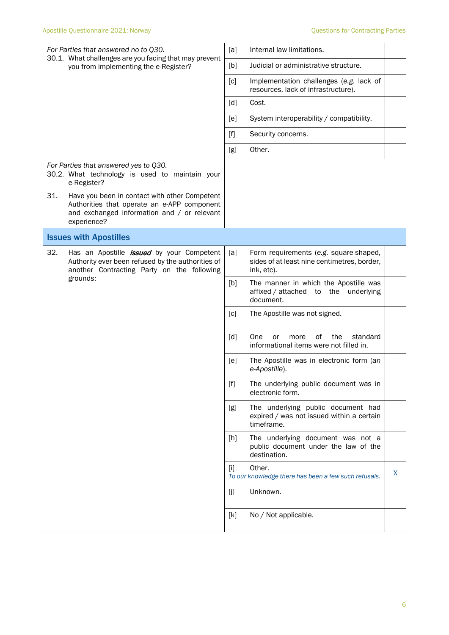| For Parties that answered no to Q30.<br>30.1. What challenges are you facing that may prevent<br>you from implementing the e-Register?                            | Internal law limitations.<br>[a]                                                                           |
|-------------------------------------------------------------------------------------------------------------------------------------------------------------------|------------------------------------------------------------------------------------------------------------|
|                                                                                                                                                                   | Judicial or administrative structure.<br>[b]                                                               |
|                                                                                                                                                                   | Implementation challenges (e.g. lack of<br>[c]<br>resources, lack of infrastructure).                      |
|                                                                                                                                                                   | $\lceil d \rceil$<br>Cost.                                                                                 |
|                                                                                                                                                                   | System interoperability / compatibility.<br>[e]                                                            |
|                                                                                                                                                                   | $[f]$<br>Security concerns.                                                                                |
|                                                                                                                                                                   | Other.<br>[g]                                                                                              |
| For Parties that answered yes to Q30.<br>30.2. What technology is used to maintain your<br>e-Register?                                                            |                                                                                                            |
| 31.<br>Have you been in contact with other Competent<br>Authorities that operate an e-APP component<br>and exchanged information and / or relevant<br>experience? |                                                                                                            |
| <b>Issues with Apostilles</b>                                                                                                                                     |                                                                                                            |
| 32.<br>Has an Apostille <i>issued</i> by your Competent<br>Authority ever been refused by the authorities of<br>another Contracting Party on the following        | [a]<br>Form requirements (e.g. square-shaped,<br>sides of at least nine centimetres, border,<br>ink, etc). |
| grounds:                                                                                                                                                          | The manner in which the Apostille was<br>[b]<br>affixed / attached<br>the underlying<br>to<br>document.    |
|                                                                                                                                                                   | [c]<br>The Apostille was not signed.                                                                       |
|                                                                                                                                                                   | of<br>the<br>standard<br>[d]<br>One<br>or<br>more<br>informational items were not filled in.               |
|                                                                                                                                                                   | The Apostille was in electronic form (an<br>[ <sub>e</sub> ]<br>e-Apostille).                              |
|                                                                                                                                                                   | The underlying public document was in<br>$[f]$<br>electronic form.                                         |
|                                                                                                                                                                   | The underlying public document had<br>[g]<br>expired / was not issued within a certain<br>timeframe.       |
|                                                                                                                                                                   | The underlying document was not a<br>[h]<br>public document under the law of the<br>destination.           |
|                                                                                                                                                                   | Other.<br>$[1]$<br>X<br>To our knowledge there has been a few such refusals.                               |
|                                                                                                                                                                   | [j]<br>Unknown.                                                                                            |
|                                                                                                                                                                   | [k]<br>No / Not applicable.                                                                                |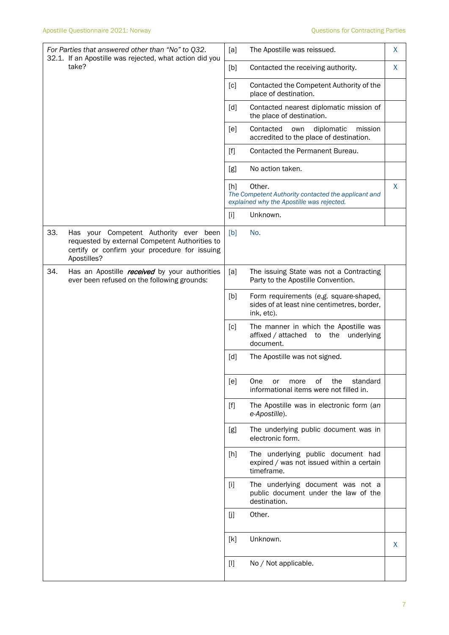| For Parties that answered other than "No" to Q32.<br>32.1. If an Apostille was rejected, what action did you                                                    | [a]<br>The Apostille was reissued.                                                                                | X  |
|-----------------------------------------------------------------------------------------------------------------------------------------------------------------|-------------------------------------------------------------------------------------------------------------------|----|
| take?                                                                                                                                                           | Contacted the receiving authority.<br>[b]                                                                         | X  |
|                                                                                                                                                                 | Contacted the Competent Authority of the<br>[c]<br>place of destination.                                          |    |
|                                                                                                                                                                 | Contacted nearest diplomatic mission of<br>[d]<br>the place of destination.                                       |    |
|                                                                                                                                                                 | Contacted<br>diplomatic<br>mission<br>[e]<br>own<br>accredited to the place of destination.                       |    |
|                                                                                                                                                                 | Contacted the Permanent Bureau.<br>$[f]$                                                                          |    |
|                                                                                                                                                                 | No action taken.<br>[g]                                                                                           |    |
|                                                                                                                                                                 | [h]<br>Other.<br>The Competent Authority contacted the applicant and<br>explained why the Apostille was rejected. | X  |
|                                                                                                                                                                 | $[1]$<br>Unknown.                                                                                                 |    |
| 33.<br>Has your Competent Authority ever been<br>requested by external Competent Authorities to<br>certify or confirm your procedure for issuing<br>Apostilles? | [b]<br>No.                                                                                                        |    |
| 34.<br>Has an Apostille <i>received</i> by your authorities<br>ever been refused on the following grounds:                                                      | [a]<br>The issuing State was not a Contracting<br>Party to the Apostille Convention.                              |    |
|                                                                                                                                                                 | Form requirements (e.g. square-shaped,<br>[b]<br>sides of at least nine centimetres, border,<br>ink, etc).        |    |
|                                                                                                                                                                 | The manner in which the Apostille was<br>[c]<br>affixed / attached to the underlying<br>document.                 |    |
|                                                                                                                                                                 | $\lceil d \rceil$<br>The Apostille was not signed.                                                                |    |
|                                                                                                                                                                 | [e]<br>One or more of the standard<br>informational items were not filled in.                                     |    |
|                                                                                                                                                                 | $[f]$<br>The Apostille was in electronic form (an<br>e-Apostille).                                                |    |
|                                                                                                                                                                 | The underlying public document was in<br>[g]<br>electronic form.                                                  |    |
|                                                                                                                                                                 | The underlying public document had<br>[h]<br>expired / was not issued within a certain<br>timeframe.              |    |
|                                                                                                                                                                 | The underlying document was not a<br>$[1]$<br>public document under the law of the<br>destination.                |    |
|                                                                                                                                                                 | Other.<br>[j]                                                                                                     |    |
|                                                                                                                                                                 | Unknown.<br>[k]                                                                                                   | X. |
|                                                                                                                                                                 | No / Not applicable.<br>$[1]$                                                                                     |    |